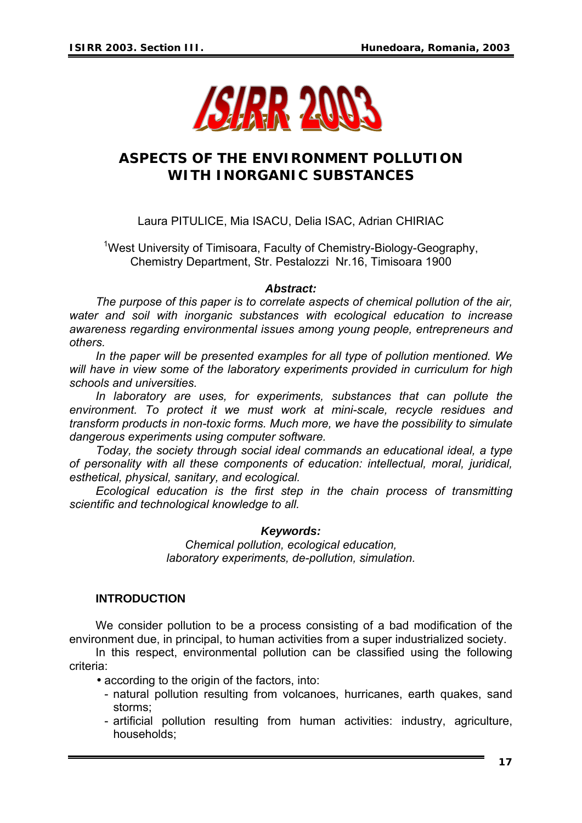

# **ASPECTS OF THE ENVIRONMENT POLLUTION WITH INORGANIC SUBSTANCES**

Laura PITULICE, Mia ISACU, Delia ISAC, Adrian CHIRIAC

<sup>1</sup>West University of Timisoara, Faculty of Chemistry-Biology-Geography, Chemistry Department, Str. Pestalozzi Nr.16, Timisoara 1900

#### *Abstract:*

*The purpose of this paper is to correlate aspects of chemical pollution of the air, water and soil with inorganic substances with ecological education to increase awareness regarding environmental issues among young people, entrepreneurs and others.* 

*In the paper will be presented examples for all type of pollution mentioned. We will have in view some of the laboratory experiments provided in curriculum for high schools and universities.* 

*In laboratory are uses, for experiments, substances that can pollute the environment. To protect it we must work at mini-scale, recycle residues and transform products in non-toxic forms. Much more, we have the possibility to simulate dangerous experiments using computer software.* 

*Today, the society through social ideal commands an educational ideal, a type of personality with all these components of education: intellectual, moral, juridical, esthetical, physical, sanitary, and ecological.* 

*Ecological education is the first step in the chain process of transmitting scientific and technological knowledge to all.* 

#### *Keywords:*

*Chemical pollution, ecological education, laboratory experiments, de-pollution, simulation.* 

## **INTRODUCTION**

We consider pollution to be a process consisting of a bad modification of the environment due, in principal, to human activities from a super industrialized society.

In this respect, environmental pollution can be classified using the following criteria:

- according to the origin of the factors, into:
	- natural pollution resulting from volcanoes, hurricanes, earth quakes, sand storms;
	- artificial pollution resulting from human activities: industry, agriculture, households;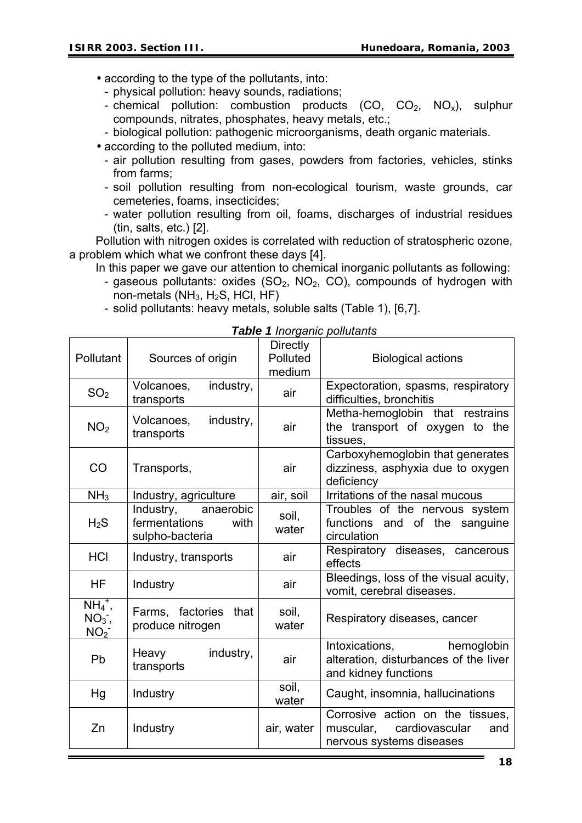• according to the type of the pollutants, into:

- physical pollution: heavy sounds, radiations;
- chemical pollution: combustion products  $(CO, CO<sub>2</sub>, NO<sub>x</sub>)$ , sulphur compounds, nitrates, phosphates, heavy metals, etc.;
- biological pollution: pathogenic microorganisms, death organic materials.
- according to the polluted medium, into:
	- air pollution resulting from gases, powders from factories, vehicles, stinks from farms;
	- soil pollution resulting from non-ecological tourism, waste grounds, car cemeteries, foams, insecticides;
	- water pollution resulting from oil, foams, discharges of industrial residues (tin, salts, etc.) [2].

Pollution with nitrogen oxides is correlated with reduction of stratospheric ozone, a problem which what we confront these days [4].

In this paper we gave our attention to chemical inorganic pollutants as following:

- gaseous pollutants: oxides  $(SO_2, NO_2, CO)$ , compounds of hydrogen with non-metals  $(NH_3, H_2S, HCl, HF)$
- solid pollutants: heavy metals, soluble salts (Table 1), [6,7].

Pollutant | Sources of origin **Directly** Polluted medium Biological actions  $SO<sub>2</sub>$ Volcanoes, industry, Volcanoes, industry, air Expectoration, spasms, respiratory transports difficulties, bronchitis  $NO<sub>2</sub>$ Volcanoes, industry, transports air Metha-hemoglobin that restrains the transport of oxygen to the tissues, CO Transports, air Carboxyhemoglobin that generates dizziness, asphyxia due to oxygen deficiency  $NH<sub>3</sub>$  | Industry, agriculture | air, soil | Irritations of the nasal mucous  $H<sub>2</sub>S$ Industry, anaerobic fermentations with sulpho-bacteria soil, water Troubles of the nervous system functions and of the sanguine circulation HCl Industry, transports air Respiratory diseases, cancerous effects HF Industry air Bleedings, loss of the visual acuity, vomit, cerebral diseases.  $\overline{\mathrm{NH_4}^{+}}$ ,  $NO<sub>3</sub>$ ,  $NO<sub>2</sub>$ Farms, factories that produce nitrogen soil, water | Respiratory diseases, cancer  $Pb$  Heavy industry, transports modelly, air Intoxications, hemoglobin alteration, disturbances of the liver and kidney functions Hg Industry Soil, soil, Caught, insomnia, hallucinations Zn | Industry | air, water Corrosive action on the tissues. muscular, cardiovascular and nervous systems diseases

*Table 1 Inorganic pollutants*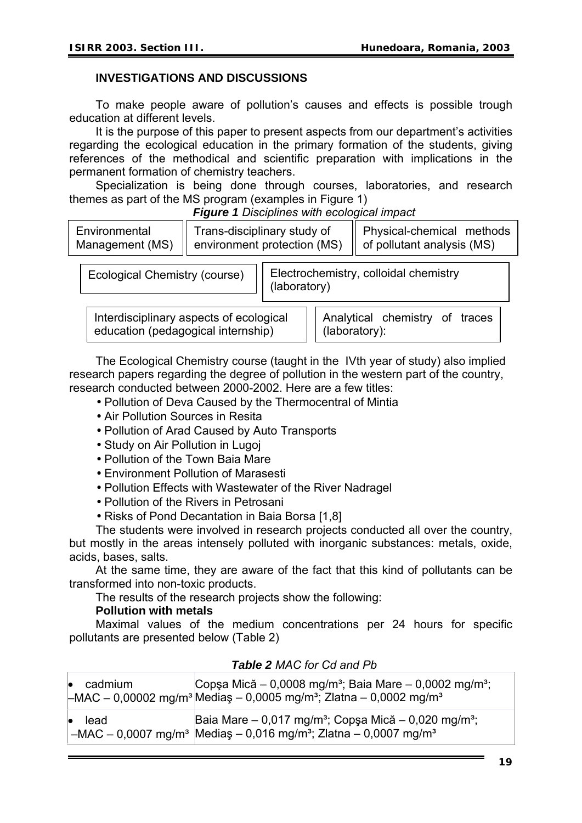## **INVESTIGATIONS AND DISCUSSIONS**

To make people aware of pollution's causes and effects is possible trough education at different levels.

It is the purpose of this paper to present aspects from our department's activities regarding the ecological education in the primary formation of the students, giving references of the methodical and scientific preparation with implications in the permanent formation of chemistry teachers.

Specialization is being done through courses, laboratories, and research themes as part of the MS program (examples in Figure 1)

*Figure 1 Disciplines with ecological impact* 

| Environmental<br>Management (MS) | Trans-disciplinary study of<br>$\parallel$ environment protection (MS) $\parallel$ of pollutant analysis (MS) | Physical-chemical methods |
|----------------------------------|---------------------------------------------------------------------------------------------------------------|---------------------------|
|                                  |                                                                                                               |                           |

Ecological Chemistry (course)

Electrochemistry, colloidal chemistry (laboratory)

Interdisciplinary aspects of ecological education (pedagogical internship)

Analytical chemistry of traces (laboratory):

The Ecological Chemistry course (taught in the IVth year of study) also implied research papers regarding the degree of pollution in the western part of the country, research conducted between 2000-2002. Here are a few titles:

- Pollution of Deva Caused by the Thermocentral of Mintia
- Air Pollution Sources in Resita
- Pollution of Arad Caused by Auto Transports
- Study on Air Pollution in Lugoj
- Pollution of the Town Baia Mare
- Environment Pollution of Marasesti
- Pollution Effects with Wastewater of the River Nadragel
- Pollution of the Rivers in Petrosani
- Risks of Pond Decantation in Baia Borsa [1,8]

The students were involved in research projects conducted all over the country, but mostly in the areas intensely polluted with inorganic substances: metals, oxide, acids, bases, salts.

At the same time, they are aware of the fact that this kind of pollutants can be transformed into non-toxic products.

The results of the research projects show the following:

## **Pollution with metals**

Maximal values of the medium concentrations per 24 hours for specific pollutants are presented below (Table 2)

## *Table 2 MAC for Cd and Pb*

| $\bullet$ cadmium | Copsa Mică – 0,0008 mg/m <sup>3</sup> ; Baia Mare – 0,0002 mg/m <sup>3</sup> ;<br>$-MAC - 0,00002$ mg/m <sup>3</sup> Medias - 0,0005 mg/m <sup>3</sup> ; Zlatna - 0,0002 mg/m <sup>3</sup> |
|-------------------|--------------------------------------------------------------------------------------------------------------------------------------------------------------------------------------------|
| lead              | Baia Mare - 0,017 mg/m <sup>3</sup> ; Copsa Mică - 0,020 mg/m <sup>3</sup> ;<br>$-$ MAC – 0,0007 mg/m <sup>3</sup> Medias – 0,016 mg/m <sup>3</sup> ; Zlatna – 0,0007 mg/m <sup>3</sup>    |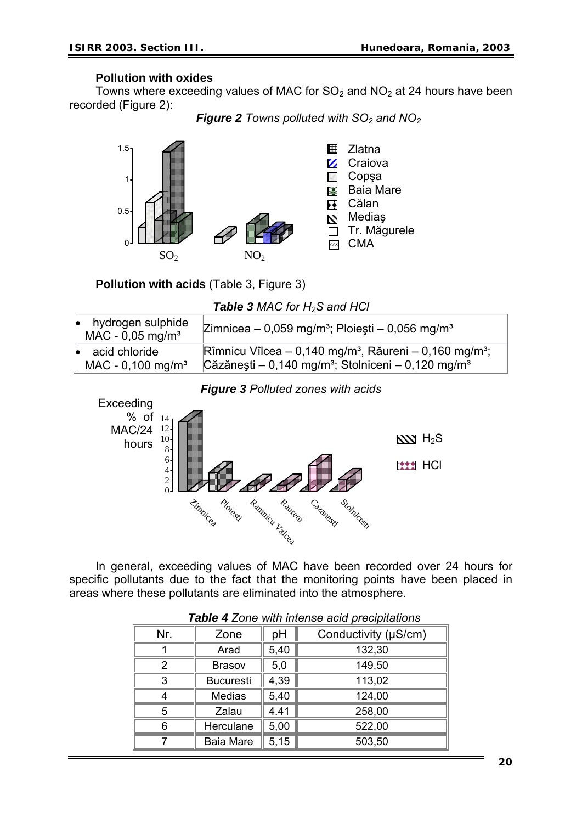#### **Pollution with oxides**

Towns where exceeding values of MAC for  $SO<sub>2</sub>$  and  $NO<sub>2</sub>$  at 24 hours have been recorded (Figure 2):

*Figure 2 Towns polluted with SO<sub>2</sub> and NO<sub>2</sub>* 



**Pollution with acids** (Table 3, Figure 3)

| <b>Table 3 MAC for <math>H_2S</math> and HCI</b> |  |  |  |  |  |  |
|--------------------------------------------------|--|--|--|--|--|--|
|--------------------------------------------------|--|--|--|--|--|--|

| $\bullet$ hydrogen sulphide<br>$MAC - 0.05$ mg/m <sup>3</sup> | Zimnicea – 0,059 mg/m <sup>3</sup> ; Ploiești – 0,056 mg/m <sup>3</sup>        |
|---------------------------------------------------------------|--------------------------------------------------------------------------------|
| acid chloride                                                 | Rîmnicu Vîlcea – 0,140 mg/m <sup>3</sup> , Răureni – 0,160 mg/m <sup>3</sup> ; |
| $MAC - 0,100$ mg/m <sup>3</sup>                               | Căzănești – 0,140 mg/m <sup>3</sup> ; Stolniceni – 0,120 mg/m <sup>3</sup>     |





In general, exceeding values of MAC have been recorded over 24 hours for specific pollutants due to the fact that the monitoring points have been placed in areas where these pollutants are eliminated into the atmosphere.

| $1800 + 2010$ with interior and precipitations |                  |      |                      |
|------------------------------------------------|------------------|------|----------------------|
| Nr.                                            | Zone             | рH   | Conductivity (µS/cm) |
|                                                | Arad             | 5,40 | 132,30               |
|                                                | <b>Brasov</b>    | 5,0  | 149,50               |
| 3                                              | <b>Bucuresti</b> | 4,39 | 113,02               |
|                                                | Medias           | 5,40 | 124,00               |
| 5                                              | Zalau            | 4.41 | 258,00               |
| 6                                              | Herculane        | 5,00 | 522,00               |
|                                                | <b>Baia Mare</b> | 5,15 | 503,50               |

| <b>Table 4</b> Zone with intense acid precipitations |  |  |  |
|------------------------------------------------------|--|--|--|
|------------------------------------------------------|--|--|--|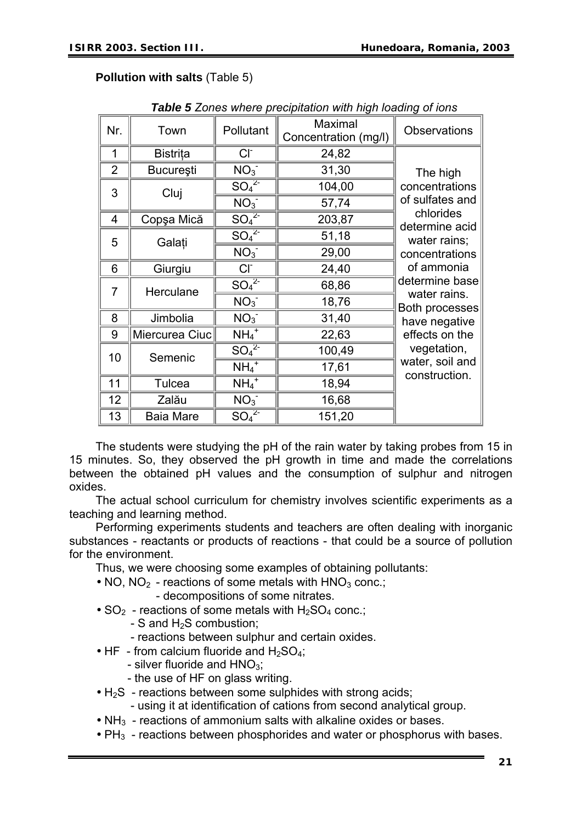**Pollution with salts** (Table 5)

| Nr.            | Town             | Pollutant                    | Maximal<br>Concentration (mg/l) | <b>Observations</b>                   |
|----------------|------------------|------------------------------|---------------------------------|---------------------------------------|
| 1              | <b>Bistrita</b>  | $CI^-$                       | 24,82                           |                                       |
| $\overline{2}$ | <b>București</b> | NO <sub>3</sub>              | 31,30                           | The high                              |
| 3              | Cluj             | SO <sub>4</sub> <sup>2</sup> | 104,00                          | concentrations                        |
|                |                  | NO <sub>3</sub>              | 57,74                           | of sulfates and                       |
| 4              | Copșa Mică       | SO <sub>4</sub> <sup>2</sup> | 203,87                          | chlorides<br>determine acid           |
| 5              | Galați           | SO <sub>4</sub> <sup>2</sup> | 51,18                           | water rains;                          |
|                |                  | NO <sub>3</sub>              | 29,00                           | concentrations                        |
| 6              | Giurgiu          | $CI-$                        | 24,40                           | of ammonia                            |
| $\overline{7}$ | Herculane        | SO <sub>4</sub> <sup>2</sup> | 68,86                           | determine base                        |
|                |                  | NO <sub>3</sub>              | 18,76                           | water rains.<br><b>Both processes</b> |
| 8              | Jimbolia         | NO <sub>3</sub>              | 31,40                           | have negative                         |
| 9              | Miercurea Ciuc   | $NH_4$ <sup>+</sup>          | 22,63                           | effects on the                        |
| 10             | Semenic          | SO <sub>4</sub> <sup>2</sup> | 100,49                          | vegetation,                           |
|                |                  | $NH_4$ <sup>+</sup>          | 17,61                           | water, soil and<br>construction.      |
| 11             | Tulcea           | $NH_4$ <sup>+</sup>          | 18,94                           |                                       |
| 12             | Zalău            | NO <sub>3</sub>              | 16,68                           |                                       |
| 13             | <b>Baia Mare</b> | SO <sub>4</sub> <sup>2</sup> | 151,20                          |                                       |

*Table 5 Zones where precipitation with high loading of ions*

The students were studying the pH of the rain water by taking probes from 15 in 15 minutes. So, they observed the pH growth in time and made the correlations between the obtained pH values and the consumption of sulphur and nitrogen oxides.

The actual school curriculum for chemistry involves scientific experiments as a teaching and learning method.

Performing experiments students and teachers are often dealing with inorganic substances - reactants or products of reactions - that could be a source of pollution for the environment.

Thus, we were choosing some examples of obtaining pollutants:

- NO, NO<sub>2</sub> reactions of some metals with  $HNO<sub>3</sub>$  conc.; - decompositions of some nitrates.
- SO<sub>2</sub> reactions of some metals with  $H_2SO_4$  conc.;
	- $-$  S and H<sub>2</sub>S combustion;
	- reactions between sulphur and certain oxides.
- HF from calcium fluoride and  $H_2SO_4$ ;
	- silver fluoride and  $HNO<sub>3</sub>$ ;
	- the use of HF on glass writing.
- $\cdot$  H<sub>2</sub>S reactions between some sulphides with strong acids;
	- using it at identification of cations from second analytical group.
- $NH<sub>3</sub>$  reactions of ammonium salts with alkaline oxides or bases.
- $PH_3$  reactions between phosphorides and water or phosphorus with bases.